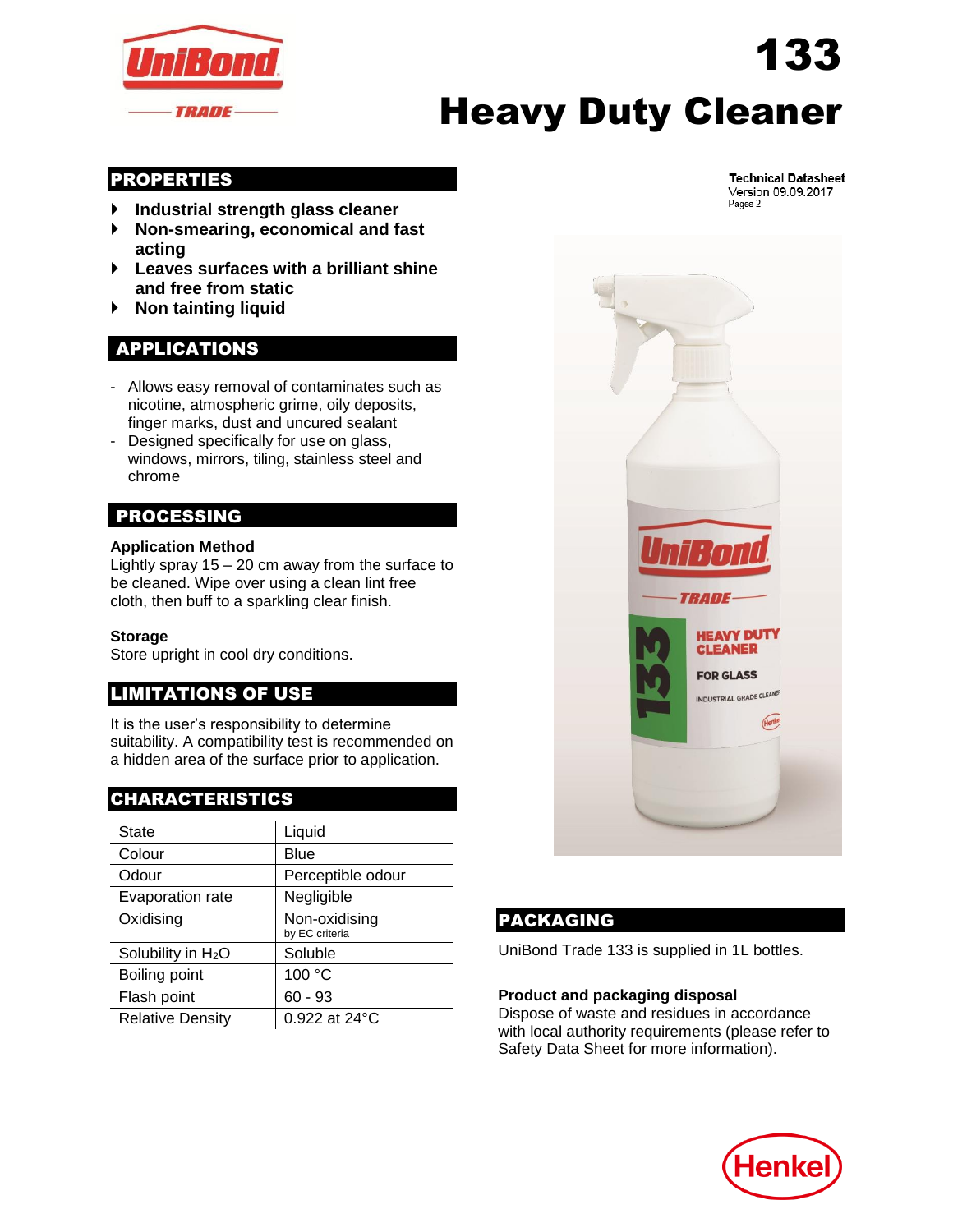

# Heavy Duty Cleaner

#### PROPERTIES

- **Industrial strength glass cleaner**
- **Non-smearing, economical and fast acting**
- **Leaves surfaces with a brilliant shine and free from static**
- **Non tainting liquid**

# APPLICATIONS

- Allows easy removal of contaminates such as nicotine, atmospheric grime, oily deposits, finger marks, dust and uncured sealant
- Designed specifically for use on glass, windows, mirrors, tiling, stainless steel and chrome

# PROCESSING

#### **Application Method**

Lightly spray 15 – 20 cm away from the surface to be cleaned. Wipe over using a clean lint free cloth, then buff to a sparkling clear finish.

#### **Storage**

Store upright in cool dry conditions.

# LIMITATIONS OF USE

It is the user's responsibility to determine suitability. A compatibility test is recommended on a hidden area of the surface prior to application.

# CHARACTERISTICS

| State                          | Liquid                          |
|--------------------------------|---------------------------------|
| Colour                         | Blue                            |
| Odour                          | Perceptible odour               |
| Evaporation rate               | Negligible                      |
| Oxidising                      | Non-oxidising<br>by EC criteria |
| Solubility in H <sub>2</sub> O | Soluble                         |
| Boiling point                  | 100 °C                          |
| Flash point                    | $60 - 93$                       |
| <b>Relative Density</b>        | 0.922 at 24°C                   |



# PACKAGING

UniBond Trade 133 is supplied in 1L bottles.

#### **Product and packaging disposal**

Dispose of waste and residues in accordance with local authority requirements (please refer to Safety Data Sheet for more information).



**Technical Datasheet** Version 09.09.2017 Pages 2

133